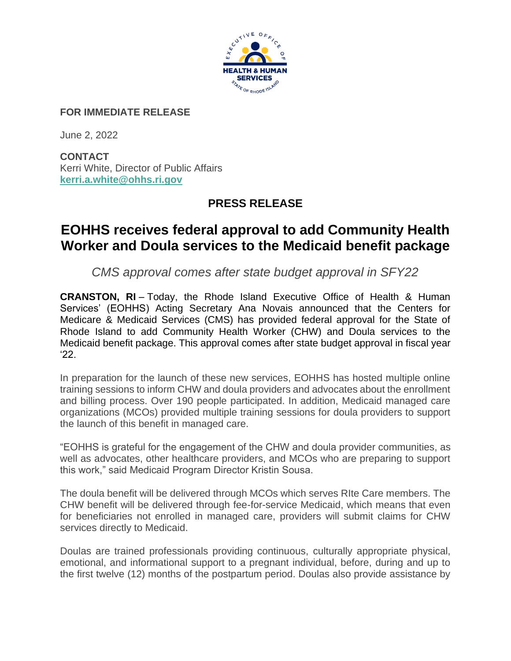

## **FOR IMMEDIATE RELEASE**

June 2, 2022

**CONTACT** Kerri White, Director of Public Affairs **[kerri.a.white@ohhs.ri.gov](mailto:kerri.a.white@ohhs.ri.gov)**

## **PRESS RELEASE**

## **EOHHS receives federal approval to add Community Health Worker and Doula services to the Medicaid benefit package**

*CMS approval comes after state budget approval in SFY22*

**CRANSTON, RI** – Today, the Rhode Island Executive Office of Health & Human Services' (EOHHS) Acting Secretary Ana Novais announced that the Centers for Medicare & Medicaid Services (CMS) has provided federal approval for the State of Rhode Island to add Community Health Worker (CHW) and Doula services to the Medicaid benefit package. This approval comes after state budget approval in fiscal year '22.

In preparation for the launch of these new services, EOHHS has hosted multiple online training sessions to inform CHW and doula providers and advocates about the enrollment and billing process. Over 190 people participated. In addition, Medicaid managed care organizations (MCOs) provided multiple training sessions for doula providers to support the launch of this benefit in managed care.

"EOHHS is grateful for the engagement of the CHW and doula provider communities, as well as advocates, other healthcare providers, and MCOs who are preparing to support this work," said Medicaid Program Director Kristin Sousa.

The doula benefit will be delivered through MCOs which serves RIte Care members. The CHW benefit will be delivered through fee-for-service Medicaid, which means that even for beneficiaries not enrolled in managed care, providers will submit claims for CHW services directly to Medicaid.

Doulas are trained professionals providing continuous, culturally appropriate physical, emotional, and informational support to a pregnant individual, before, during and up to the first twelve (12) months of the postpartum period. Doulas also provide assistance by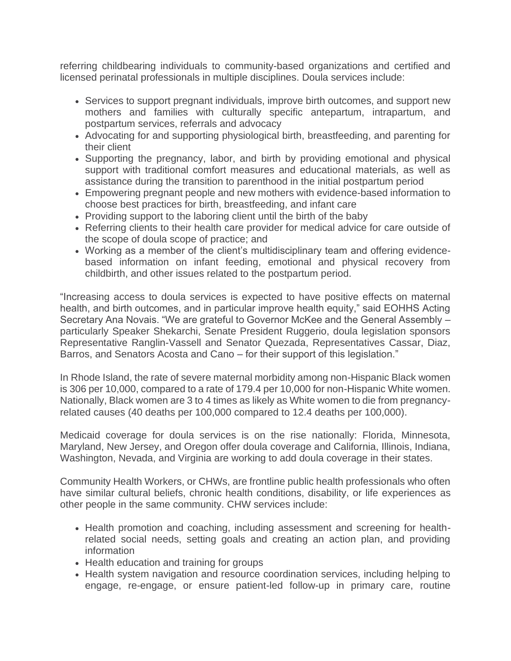referring childbearing individuals to community-based organizations and certified and licensed perinatal professionals in multiple disciplines. Doula services include:

- Services to support pregnant individuals, improve birth outcomes, and support new mothers and families with culturally specific antepartum, intrapartum, and postpartum services, referrals and advocacy
- Advocating for and supporting physiological birth, breastfeeding, and parenting for their client
- Supporting the pregnancy, labor, and birth by providing emotional and physical support with traditional comfort measures and educational materials, as well as assistance during the transition to parenthood in the initial postpartum period
- Empowering pregnant people and new mothers with evidence-based information to choose best practices for birth, breastfeeding, and infant care
- Providing support to the laboring client until the birth of the baby
- Referring clients to their health care provider for medical advice for care outside of the scope of doula scope of practice; and
- Working as a member of the client's multidisciplinary team and offering evidencebased information on infant feeding, emotional and physical recovery from childbirth, and other issues related to the postpartum period.

"Increasing access to doula services is expected to have positive effects on maternal health, and birth outcomes, and in particular improve health equity," said EOHHS Acting Secretary Ana Novais. "We are grateful to Governor McKee and the General Assembly – particularly Speaker Shekarchi, Senate President Ruggerio, doula legislation sponsors Representative Ranglin-Vassell and Senator Quezada, Representatives Cassar, Diaz, Barros, and Senators Acosta and Cano – for their support of this legislation."

In Rhode Island, the rate of severe maternal morbidity among non-Hispanic Black women is 306 per 10,000, compared to a rate of 179.4 per 10,000 for non-Hispanic White women. Nationally, Black women are 3 to 4 times as likely as White women to die from pregnancyrelated causes (40 deaths per 100,000 compared to 12.4 deaths per 100,000).

Medicaid coverage for doula services is on the rise nationally: Florida, Minnesota, Maryland, New Jersey, and Oregon offer doula coverage and California, Illinois, Indiana, Washington, Nevada, and Virginia are working to add doula coverage in their states.

Community Health Workers, or CHWs, are frontline public health professionals who often have similar cultural beliefs, chronic health conditions, disability, or life experiences as other people in the same community. CHW services include:

- Health promotion and coaching, including assessment and screening for healthrelated social needs, setting goals and creating an action plan, and providing information
- Health education and training for groups
- Health system navigation and resource coordination services, including helping to engage, re-engage, or ensure patient-led follow-up in primary care, routine